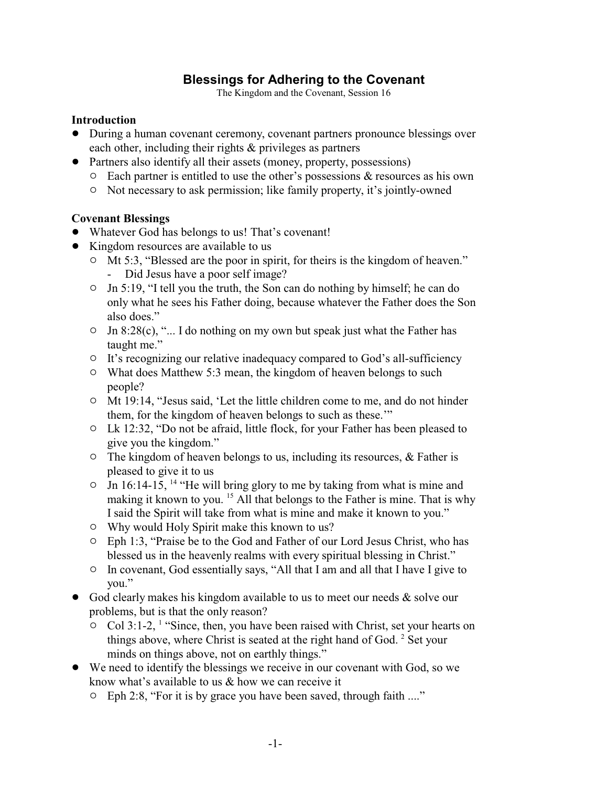# **Blessings for Adhering to the Covenant**

The Kingdom and the Covenant, Session 16

#### **Introduction**

- During a human covenant ceremony, covenant partners pronounce blessings over each other, including their rights & privileges as partners
- Partners also identify all their assets (money, property, possessions)
	- $\circ$  Each partner is entitled to use the other's possessions & resources as his own
	- <sup>o</sup> Not necessary to ask permission; like family property, it's jointly-owned

#### **Covenant Blessings**

- ! Whatever God has belongs to us! That's covenant!
- Kingdom resources are available to us
	- <sup>o</sup> Mt 5:3, "Blessed are the poor in spirit, for theirs is the kingdom of heaven." - Did Jesus have a poor self image?
	- $\circ$  Jn 5:19, "I tell you the truth, the Son can do nothing by himself; he can do only what he sees his Father doing, because whatever the Father does the Son also does."
	- $\circ$  Jn 8:28(c), "... I do nothing on my own but speak just what the Father has taught me."
	- <sup>o</sup> It's recognizing our relative inadequacy compared to God's all-sufficiency
	- $\circ$  What does Matthew 5:3 mean, the kingdom of heaven belongs to such people?
	- $\circ$  Mt 19:14, "Jesus said, 'Let the little children come to me, and do not hinder them, for the kingdom of heaven belongs to such as these.'"
	- <sup>o</sup> Lk 12:32, "Do not be afraid, little flock, for your Father has been pleased to give you the kingdom."
	- $\circ$  The kingdom of heaven belongs to us, including its resources, & Father is pleased to give it to us
	- $\circ$  Jn 16:14-15, <sup>14</sup> "He will bring glory to me by taking from what is mine and making it known to you. <sup>15</sup> All that belongs to the Father is mine. That is why I said the Spirit will take from what is mine and make it known to you."
	- <sup>o</sup> Why would Holy Spirit make this known to us?
	- " Eph 1:3, "Praise be to the God and Father of our Lord Jesus Christ, who has blessed us in the heavenly realms with every spiritual blessing in Christ."
	- $\circ$  In covenant, God essentially says, "All that I am and all that I have I give to you."
- $\bullet$  God clearly makes his kingdom available to us to meet our needs & solve our problems, but is that the only reason?
	- $\circ$  Col 3:1-2, <sup>1</sup> "Since, then, you have been raised with Christ, set your hearts on things above, where Christ is seated at the right hand of God.<sup>2</sup> Set your minds on things above, not on earthly things."
- We need to identify the blessings we receive in our covenant with God, so we know what's available to us  $\&$  how we can receive it
	- " Eph 2:8, "For it is by grace you have been saved, through faith ...."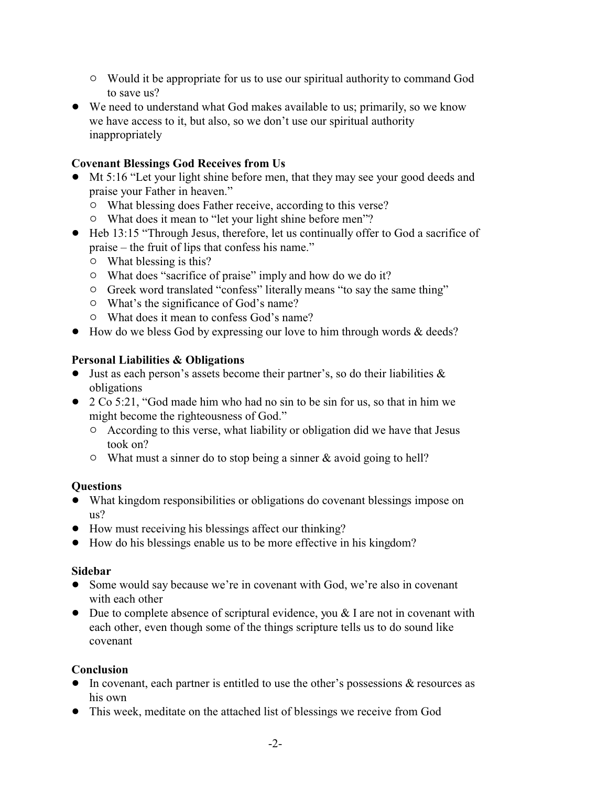- $\circ$  Would it be appropriate for us to use our spiritual authority to command God to save us?
- ! We need to understand what God makes available to us; primarily, so we know we have access to it, but also, so we don't use our spiritual authority inappropriately

#### **Covenant Blessings God Receives from Us**

- ! Mt 5:16 "Let your light shine before men, that they may see your good deeds and praise your Father in heaven."
	- $\circ$  What blessing does Father receive, according to this verse?
	- What does it mean to "let your light shine before men"?
- ! Heb 13:15 "Through Jesus, therefore, let us continually offer to God a sacrifice of praise – the fruit of lips that confess his name."
	- $\circ$  What blessing is this?
	- $\circ$  What does "sacrifice of praise" imply and how do we do it?
	- <sup>o</sup> Greek word translated "confess" literally means "to say the same thing"
	- $\circ$  What's the significance of God's name?
	- $\circ$  What does it mean to confess God's name?
- How do we bless God by expressing our love to him through words & deeds?

#### **Personal Liabilities & Obligations**

- $\bullet$  Just as each person's assets become their partner's, so do their liabilities  $\&$ obligations
- 2 Co 5:21, "God made him who had no sin to be sin for us, so that in him we might become the righteousness of God."
	- $\circ$  According to this verse, what liability or obligation did we have that Jesus took on?
	- $\circ$  What must a sinner do to stop being a sinner & avoid going to hell?

## **Questions**

- ! What kingdom responsibilities or obligations do covenant blessings impose on us?
- ! How must receiving his blessings affect our thinking?
- ! How do his blessings enable us to be more effective in his kingdom?

#### **Sidebar**

- Some would say because we're in covenant with God, we're also in covenant with each other
- $\bullet$  Due to complete absence of scriptural evidence, you & I are not in covenant with each other, even though some of the things scripture tells us to do sound like covenant

#### **Conclusion**

- $\bullet$  In covenant, each partner is entitled to use the other's possessions & resources as his own
- This week, meditate on the attached list of blessings we receive from God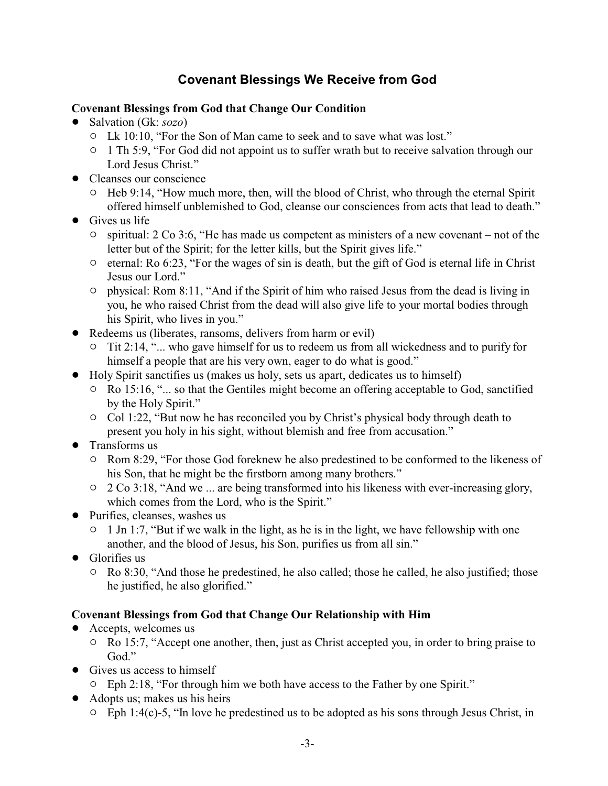# **Covenant Blessings We Receive from God**

#### **Covenant Blessings from God that Change Our Condition**

- ! Salvation (Gk: *sozo*)
	- <sup>o</sup> Lk 10:10, "For the Son of Man came to seek and to save what was lost."
	- <sup>o</sup> 1 Th 5:9, "For God did not appoint us to suffer wrath but to receive salvation through our Lord Jesus Christ."
- Cleanses our conscience
	- $\circ$  Heb 9:14, "How much more, then, will the blood of Christ, who through the eternal Spirit offered himself unblemished to God, cleanse our consciences from acts that lead to death."
- $\bullet$  Gives us life
	- $\circ$  spiritual: 2 Co 3:6, "He has made us competent as ministers of a new covenant not of the letter but of the Spirit; for the letter kills, but the Spirit gives life."
	- $\circ$  eternal: Ro 6:23, "For the wages of sin is death, but the gift of God is eternal life in Christ Jesus our Lord."
	- $\circ$  physical: Rom 8:11, "And if the Spirit of him who raised Jesus from the dead is living in you, he who raised Christ from the dead will also give life to your mortal bodies through his Spirit, who lives in you."
- Redeems us (liberates, ransoms, delivers from harm or evil)
	- $\circ$  Tit 2:14, "... who gave himself for us to redeem us from all wickedness and to purify for himself a people that are his very own, eager to do what is good."
- ! Holy Spirit sanctifies us (makes us holy, sets us apart, dedicates us to himself)
	- $\circ$  Ro 15:16, "... so that the Gentiles might become an offering acceptable to God, sanctified by the Holy Spirit."
	- $\circ$  Col 1:22, "But now he has reconciled you by Christ's physical body through death to present you holy in his sight, without blemish and free from accusation."
- Transforms us
	- <sup>o</sup> Rom 8:29, "For those God foreknew he also predestined to be conformed to the likeness of his Son, that he might be the firstborn among many brothers."
	- $\circ$  2 Co 3:18, "And we ... are being transformed into his likeness with ever-increasing glory, which comes from the Lord, who is the Spirit."
- Purifies, cleanses, washes us
	- $\circ$  1 Jn 1:7, "But if we walk in the light, as he is in the light, we have fellowship with one another, and the blood of Jesus, his Son, purifies us from all sin."
- Glorifies us
	- $\circ$  Ro 8:30, "And those he predestined, he also called; those he called, he also justified; those he justified, he also glorified."

## **Covenant Blessings from God that Change Our Relationship with Him**

- Accepts, welcomes us
	- <sup>o</sup> Ro 15:7, "Accept one another, then, just as Christ accepted you, in order to bring praise to God."
- Gives us access to himself
	- $\degree$  Eph 2:18, "For through him we both have access to the Father by one Spirit."
- Adopts us; makes us his heirs
	- $\circ$  Eph 1:4(c)-5, "In love he predestined us to be adopted as his sons through Jesus Christ, in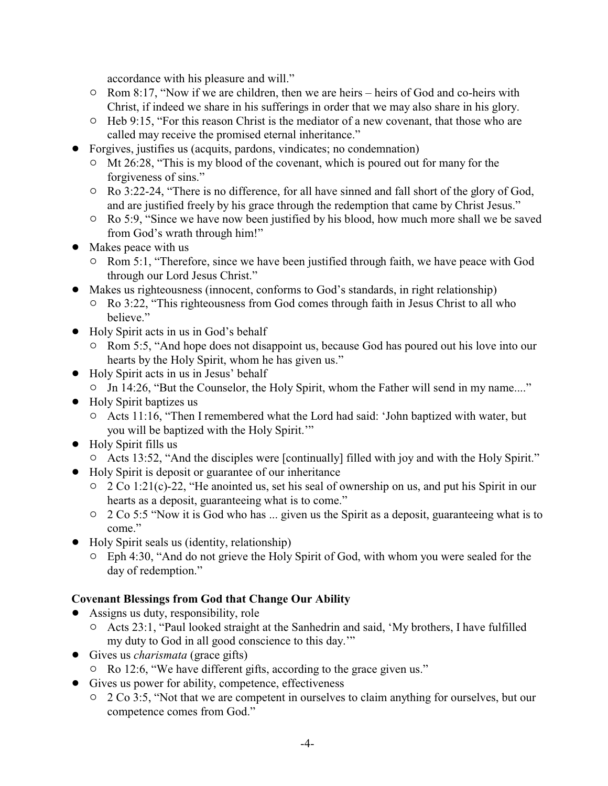accordance with his pleasure and will."

- <sup>o</sup> Rom 8:17, "Now if we are children, then we are heirs heirs of God and co-heirs with Christ, if indeed we share in his sufferings in order that we may also share in his glory.
- <sup>o</sup> Heb 9:15, "For this reason Christ is the mediator of a new covenant, that those who are called may receive the promised eternal inheritance."
- ! Forgives, justifies us (acquits, pardons, vindicates; no condemnation)
	- $\circ$  Mt 26:28, "This is my blood of the covenant, which is poured out for many for the forgiveness of sins."
	- <sup>o</sup> Ro 3:22-24, "There is no difference, for all have sinned and fall short of the glory of God, and are justified freely by his grace through the redemption that came by Christ Jesus."
	- $\circ$  Ro 5:9, "Since we have now been justified by his blood, how much more shall we be saved from God's wrath through him!"
- Makes peace with us
	- <sup>o</sup> Rom 5:1, "Therefore, since we have been justified through faith, we have peace with God through our Lord Jesus Christ."
- ! Makes us righteousness (innocent, conforms to God's standards, in right relationship)
	- <sup>o</sup> Ro 3:22, "This righteousness from God comes through faith in Jesus Christ to all who believe."
- ! Holy Spirit acts in us in God's behalf
	- <sup>o</sup> Rom 5:5, "And hope does not disappoint us, because God has poured out his love into our hearts by the Holy Spirit, whom he has given us."
- ! Holy Spirit acts in us in Jesus' behalf
	- <sup>o</sup> Jn 14:26, "But the Counselor, the Holy Spirit, whom the Father will send in my name...."
- Holy Spirit baptizes us
	- " Acts 11:16, "Then I remembered what the Lord had said: 'John baptized with water, but you will be baptized with the Holy Spirit.'"
- Holy Spirit fills us
- <sup>o</sup> Acts 13:52, "And the disciples were [continually] filled with joy and with the Holy Spirit."
- ! Holy Spirit is deposit or guarantee of our inheritance
	- <sup>o</sup> 2 Co 1:21(c)-22, "He anointed us, set his seal of ownership on us, and put his Spirit in our hearts as a deposit, guaranteeing what is to come."
	- $\degree$  2 Co 5:5 "Now it is God who has ... given us the Spirit as a deposit, guaranteeing what is to come."
- ! Holy Spirit seals us (identity, relationship)
	- $\circ$  Eph 4:30, "And do not grieve the Holy Spirit of God, with whom you were sealed for the day of redemption."

## **Covenant Blessings from God that Change Our Ability**

- Assigns us duty, responsibility, role
	- <sup>o</sup> Acts 23:1, "Paul looked straight at the Sanhedrin and said, 'My brothers, I have fulfilled my duty to God in all good conscience to this day.'"
- ! Gives us *charismata* (grace gifts)
- " Ro 12:6, "We have different gifts, according to the grace given us."
- Gives us power for ability, competence, effectiveness
	- <sup>o</sup> 2 Co 3:5, "Not that we are competent in ourselves to claim anything for ourselves, but our competence comes from God."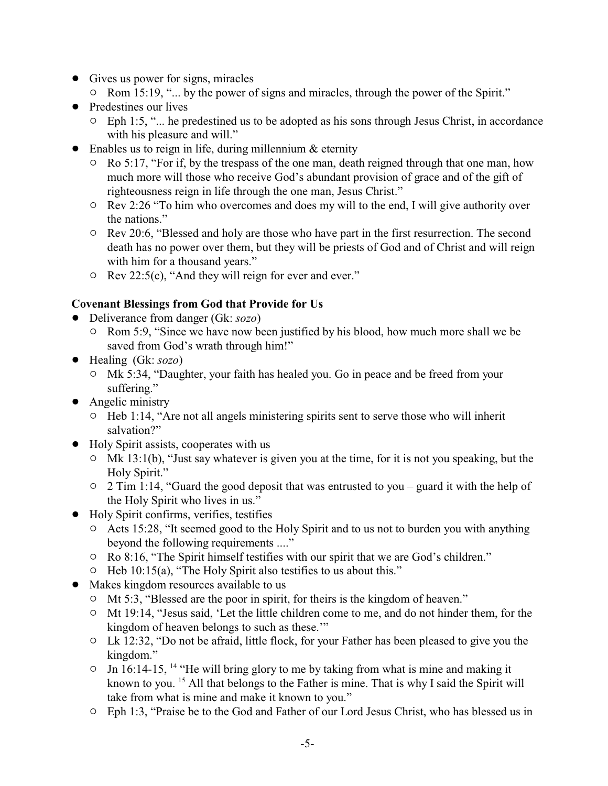- Gives us power for signs, miracles
	- <sup>o</sup> Rom 15:19, "... by the power of signs and miracles, through the power of the Spirit."
- Predestines our lives
	- $\circ$  Eph 1:5, "... he predestined us to be adopted as his sons through Jesus Christ, in accordance with his pleasure and will."
- $\bullet$  Enables us to reign in life, during millennium & eternity
	- $\circ$  Ro 5:17, "For if, by the trespass of the one man, death reigned through that one man, how much more will those who receive God's abundant provision of grace and of the gift of righteousness reign in life through the one man, Jesus Christ."
	- <sup>o</sup> Rev 2:26 "To him who overcomes and does my will to the end, I will give authority over the nations."
	- <sup>o</sup> Rev 20:6, "Blessed and holy are those who have part in the first resurrection. The second death has no power over them, but they will be priests of God and of Christ and will reign with him for a thousand years."
	- $\circ$  Rev 22:5(c), "And they will reign for ever and ever."

# **Covenant Blessings from God that Provide for Us**

- ! Deliverance from danger (Gk: *sozo*)
	- <sup>o</sup> Rom 5:9, "Since we have now been justified by his blood, how much more shall we be saved from God's wrath through him!"
- ! Healing (Gk: *sozo*)
	- <sup>o</sup> Mk 5:34, "Daughter, your faith has healed you. Go in peace and be freed from your suffering."
- Angelic ministry
	- $\circ$  Heb 1:14, "Are not all angels ministering spirits sent to serve those who will inherit salvation?"
- Holy Spirit assists, cooperates with us
	- $\circ$  Mk 13:1(b), "Just say whatever is given you at the time, for it is not you speaking, but the Holy Spirit."
	- $\circ$  2 Tim 1:14, "Guard the good deposit that was entrusted to you guard it with the help of the Holy Spirit who lives in us."
- ! Holy Spirit confirms, verifies, testifies
	- <sup>o</sup> Acts 15:28, "It seemed good to the Holy Spirit and to us not to burden you with anything beyond the following requirements ...."
	- $\circ$  Ro 8:16, "The Spirit himself testifies with our spirit that we are God's children."
	- $\circ$  Heb 10:15(a), "The Holy Spirit also testifies to us about this."
- Makes kingdom resources available to us
	- <sup>o</sup> Mt 5:3, "Blessed are the poor in spirit, for theirs is the kingdom of heaven."
	- <sup>o</sup> Mt 19:14, "Jesus said, 'Let the little children come to me, and do not hinder them, for the kingdom of heaven belongs to such as these.'"
	- <sup>o</sup> Lk 12:32, "Do not be afraid, little flock, for your Father has been pleased to give you the kingdom."
	- $\circ$  Jn 16:14-15, <sup>14</sup> "He will bring glory to me by taking from what is mine and making it known to you. <sup>15</sup> All that belongs to the Father is mine. That is why I said the Spirit will take from what is mine and make it known to you."
	- " Eph 1:3, "Praise be to the God and Father of our Lord Jesus Christ, who has blessed us in